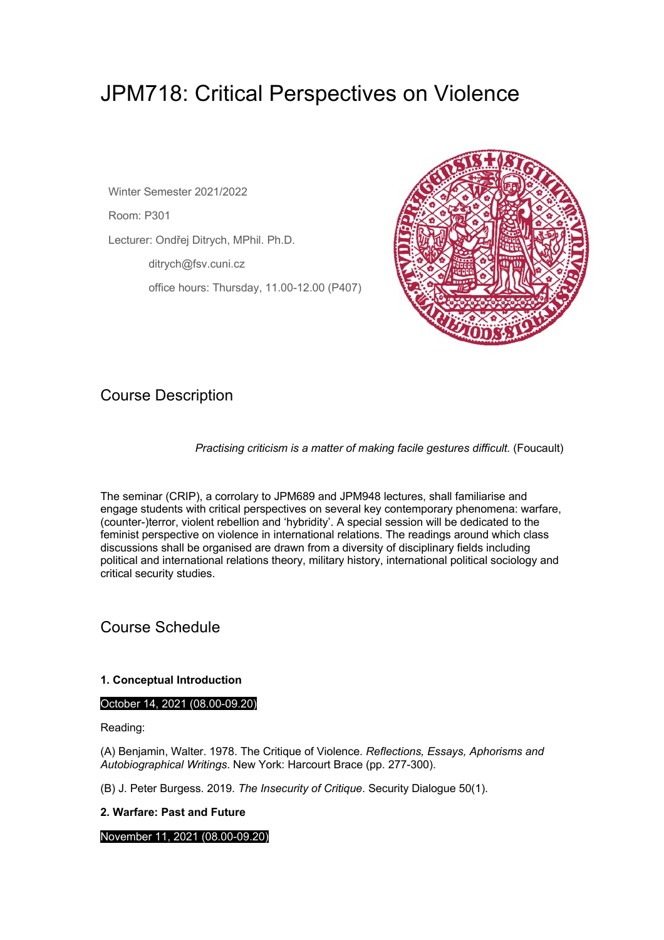# JPM718: Critical Perspectives on Violence

Winter Semester 2021/2022 Room: P301 Lecturer: Ondřej Ditrych, MPhil. Ph.D. ditrych@fsv.cuni.cz

office hours: Thursday, 11.00-12.00 (P407)



# Course Description

*Practising criticism is a matter of making facile gestures difficult.* (Foucault)

The seminar (CRIP), a corrolary to JPM689 and JPM948 lectures, shall familiarise and engage students with critical perspectives on several key contemporary phenomena: warfare, (counter-)terror, violent rebellion and 'hybridity'. A special session will be dedicated to the feminist perspective on violence in international relations. The readings around which class discussions shall be organised are drawn from a diversity of disciplinary fields including political and international relations theory, military history, international political sociology and critical security studies.

# Course Schedule

## **1. Conceptual Introduction**

#### October 14, 2021 (08.00-09.20)

Reading:

(A) Benjamin, Walter. 1978. The Critique of Violence. *Reflections, Essays, Aphorisms and Autobiographical Writings*. New York: Harcourt Brace (pp. 277-300).

(B) J. Peter Burgess. 2019. *The Insecurity of Critique*. Security Dialogue 50(1).

## **2. Warfare: Past and Future**

## November 11, 2021 (08.00-09.20)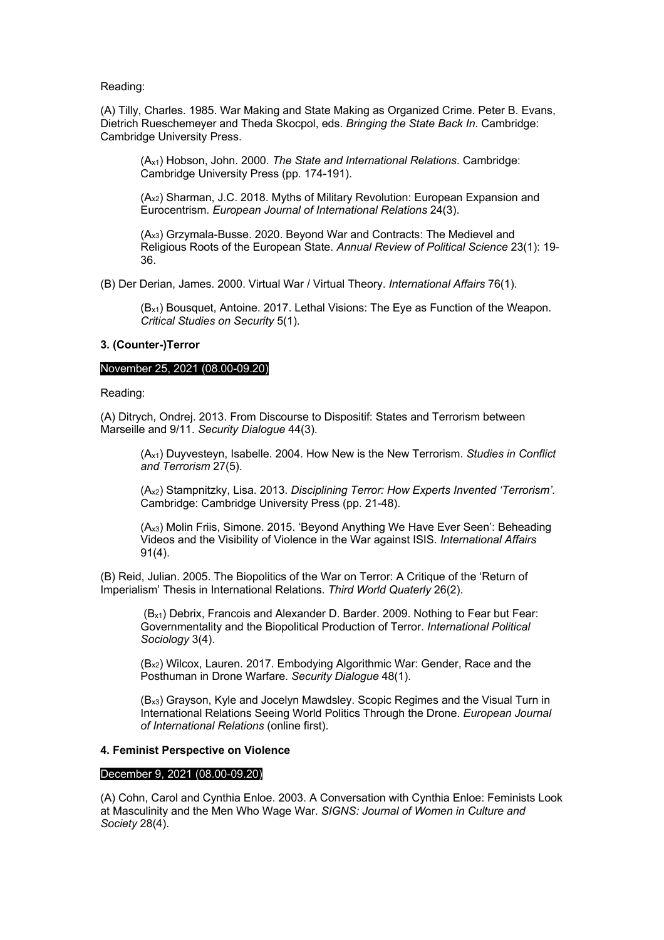Reading:

(A) Tilly, Charles. 1985. War Making and State Making as Organized Crime. Peter B. Evans, Dietrich Rueschemeyer and Theda Skocpol, eds. *Bringing the State Back In*. Cambridge: Cambridge University Press.

(Ax1) Hobson, John. 2000. *The State and International Relations*. Cambridge: Cambridge University Press (pp. 174-191).

(Ax2) Sharman, J.C. 2018. Myths of Military Revolution: European Expansion and Eurocentrism. *European Journal of International Relations* 24(3).

(Ax3) Grzymala-Busse. 2020. Beyond War and Contracts: The Medievel and Religious Roots of the European State. *Annual Review of Political Science* 23(1): 19- 36.

(B) Der Derian, James. 2000. Virtual War / Virtual Theory. *International Affairs* 76(1).

(Bx1) Bousquet, Antoine. 2017. Lethal Visions: The Eye as Function of the Weapon. *Critical Studies on Security* 5(1).

#### **3. (Counter-)Terror**

#### November 25, 2021 (08.00-09.20)

#### Reading:

(A) Ditrych, Ondrej. 2013. From Discourse to Dispositif: States and Terrorism between Marseille and 9/11. *Security Dialogue* 44(3).

(Ax1) Duyvesteyn, Isabelle. 2004. How New is the New Terrorism. *Studies in Conflict and Terrorism* 27(5).

(Ax2) Stampnitzky, Lisa. 2013. *Disciplining Terror: How Experts Invented 'Terrorism'*. Cambridge: Cambridge University Press (pp. 21-48).

(Ax3) Molin Friis, Simone. 2015. 'Beyond Anything We Have Ever Seen': Beheading Videos and the Visibility of Violence in the War against ISIS. *International Affairs* 91(4).

(B) Reid, Julian. 2005. The Biopolitics of the War on Terror: A Critique of the 'Return of Imperialism' Thesis in International Relations. *Third World Quaterly* 26(2).

 $(B<sub>x1</sub>)$  Debrix, Francois and Alexander D. Barder. 2009. Nothing to Fear but Fear: Governmentality and the Biopolitical Production of Terror. *International Political Sociology* 3(4).

(Bx2) Wilcox, Lauren. 2017. Embodying Algorithmic War: Gender, Race and the Posthuman in Drone Warfare. *Security Dialogue* 48(1).

(Bx3) Grayson, Kyle and Jocelyn Mawdsley. Scopic Regimes and the Visual Turn in International Relations Seeing World Politics Through the Drone. *European Journal of International Relations* (online first).

## **4. Feminist Perspective on Violence**

#### December 9, 2021 (08.00-09.20)

(A) Cohn, Carol and Cynthia Enloe. 2003. A Conversation with Cynthia Enloe: Feminists Look at Masculinity and the Men Who Wage War. *SIGNS: Journal of Women in Culture and Society* 28(4).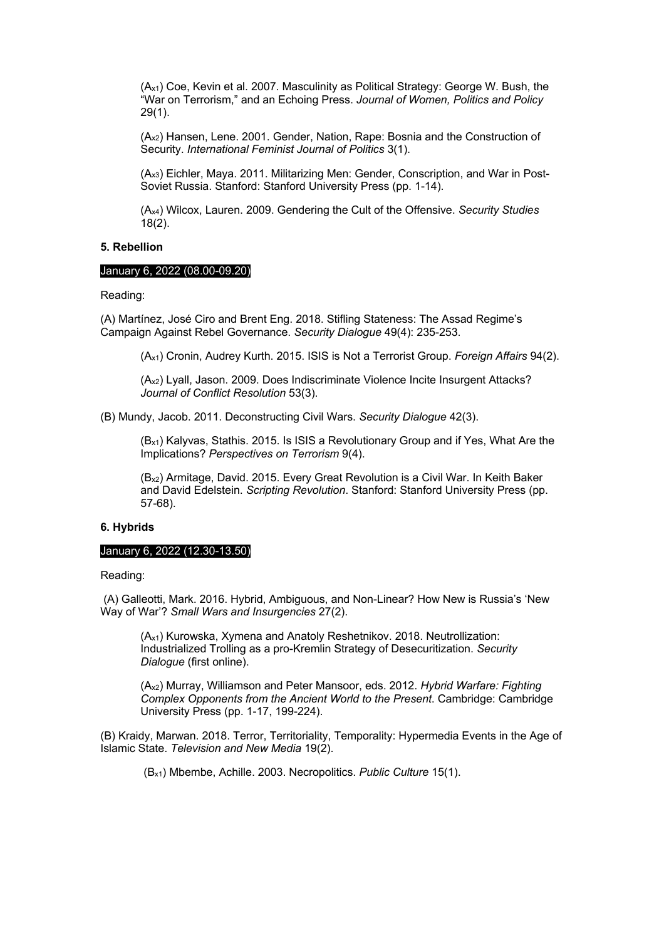(Ax1) Coe, Kevin et al. 2007. Masculinity as Political Strategy: George W. Bush, the "War on Terrorism," and an Echoing Press. *Journal of Women, Politics and Policy* 29(1).

(Ax2) Hansen, Lene. 2001. Gender, Nation, Rape: Bosnia and the Construction of Security. *International Feminist Journal of Politics* 3(1).

(Ax3) Eichler, Maya. 2011. Militarizing Men: Gender, Conscription, and War in Post-Soviet Russia. Stanford: Stanford University Press (pp. 1-14).

(Ax4) Wilcox, Lauren. 2009. Gendering the Cult of the Offensive. *Security Studies* 18(2).

#### **5. Rebellion**

#### January 6, 2022 (08.00-09.20)

Reading:

(A) Martínez, José Ciro and Brent Eng. 2018. Stifling Stateness: The Assad Regime's Campaign Against Rebel Governance. *Security Dialogue* 49(4): 235-253.

(Ax1) Cronin, Audrey Kurth. 2015. ISIS is Not a Terrorist Group. *Foreign Affairs* 94(2).

(Ax2) Lyall, Jason. 2009. Does Indiscriminate Violence Incite Insurgent Attacks? *Journal of Conflict Resolution* 53(3).

(B) Mundy, Jacob. 2011. Deconstructing Civil Wars. *Security Dialogue* 42(3).

(Bx1) Kalyvas, Stathis. 2015. Is ISIS a Revolutionary Group and if Yes, What Are the Implications? *Perspectives on Terrorism* 9(4).

(Bx2) Armitage, David. 2015. Every Great Revolution is a Civil War. In Keith Baker and David Edelstein. *Scripting Revolution*. Stanford: Stanford University Press (pp. 57-68).

#### **6. Hybrids**

#### January 6, 2022 (12.30-13.50)

Reading:

(A) Galleotti, Mark. 2016. Hybrid, Ambiguous, and Non-Linear? How New is Russia's 'New Way of War'? *Small Wars and Insurgencies* 27(2).

(Ax1) Kurowska, Xymena and Anatoly Reshetnikov. 2018. Neutrollization: Industrialized Trolling as a pro-Kremlin Strategy of Desecuritization. *Security Dialogue* (first online).

(Ax2) Murray, Williamson and Peter Mansoor, eds. 2012. *Hybrid Warfare: Fighting Complex Opponents from the Ancient World to the Present*. Cambridge: Cambridge University Press (pp. 1-17, 199-224).

(B) Kraidy, Marwan. 2018. Terror, Territoriality, Temporality: Hypermedia Events in the Age of Islamic State. *Television and New Media* 19(2).

(Bx1) Mbembe, Achille. 2003. Necropolitics. *Public Culture* 15(1).